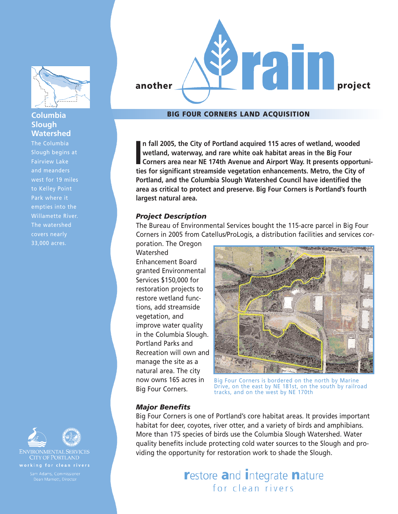

# **Columbia Slough Watershed**

The Columbia Slough begins at Fairview Lake and meanders west for 19 miles to Kelley Point Park where it empties into the Willamette River. The watershed 33,000 acres.





**ENVIRONMENTAL SERVICES CITY OF PORTLAND** 



# **BIG FOUR CORNERS LAND ACQUISITION**

In fall 2005, the City of Portland acquired 115 acres of wetland, wooded wetland, waterway, and rare white oak habitat areas in the Big Four Corners area near NE 174th Avenue and Airport Way. It presents opportuties for si **n fall 2005, the City of Portland acquired 115 acres of wetland, wooded wetland, waterway, and rare white oak habitat areas in the Big Four Corners area near NE 174th Avenue and Airport Way. It presents opportuni-Portland, and the Columbia Slough Watershed Council have identified the area as critical to protect and preserve. Big Four Corners is Portland's fourth largest natural area.**

#### *Project Description*

The Bureau of Environmental Services bought the 115-acre parcel in Big Four Corners in 2005 from Catellus/ProLogis, a distribution facilities and services cor-

poration. The Oregon **Watershed** Enhancement Board granted Environmental Services \$150,000 for restoration projects to restore wetland functions, add streamside vegetation, and improve water quality in the Columbia Slough. Portland Parks and Recreation will own and manage the site as a natural area. The city now owns 165 acres in Big Four Corners.



Big Four Corners is bordered on the north by Marine Drive, on the east by NE 181st, on the south by railroad tracks, and on the west by NE 170th

#### *Major Benefits*

Big Four Corners is one of Portland's core habitat areas. It provides important habitat for deer, coyotes, river otter, and a variety of birds and amphibians. More than 175 species of birds use the Columbia Slough Watershed. Water quality benefits include protecting cold water sources to the Slough and providing the opportunity for restoration work to shade the Slough.

> **restore and Integrate nature** for clean rivers